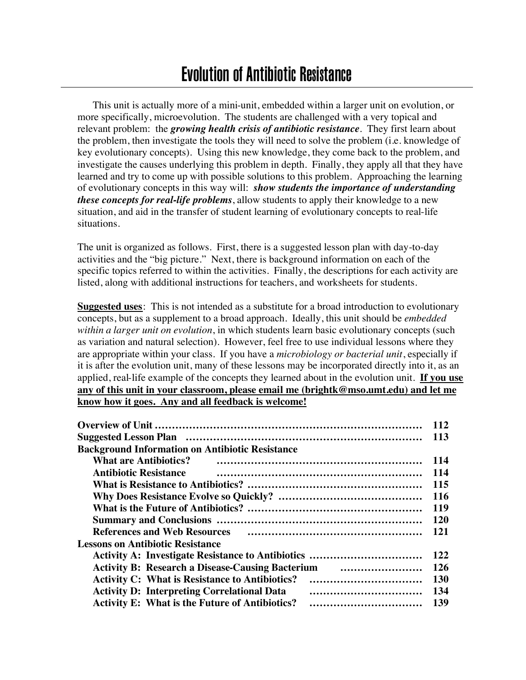# Evolution of Antibiotic Resistance

This unit is actually more of a mini-unit, embedded within a larger unit on evolution, or more specifically, microevolution. The students are challenged with a very topical and relevant problem: the *growing health crisis of antibiotic resistance*. They first learn about the problem, then investigate the tools they will need to solve the problem (i.e. knowledge of key evolutionary concepts). Using this new knowledge, they come back to the problem, and investigate the causes underlying this problem in depth. Finally, they apply all that they have learned and try to come up with possible solutions to this problem. Approaching the learning of evolutionary concepts in this way will: *show students the importance of understanding these concepts for real-life problems*, allow students to apply their knowledge to a new situation, and aid in the transfer of student learning of evolutionary concepts to real-life situations.

The unit is organized as follows. First, there is a suggested lesson plan with day-to-day activities and the "big picture." Next, there is background information on each of the specific topics referred to within the activities. Finally, the descriptions for each activity are listed, along with additional instructions for teachers, and worksheets for students.

**Suggested uses**: This is not intended as a substitute for a broad introduction to evolutionary concepts, but as a supplement to a broad approach. Ideally, this unit should be *embedded within a larger unit on evolution*, in which students learn basic evolutionary concepts (such as variation and natural selection). However, feel free to use individual lessons where they are appropriate within your class. If you have a *microbiology or bacterial unit*, especially if it is after the evolution unit, many of these lessons may be incorporated directly into it, as an applied, real-life example of the concepts they learned about in the evolution unit. **If you use any of this unit in your classroom, please email me (brightk@mso.umt.edu) and let me know how it goes. Any and all feedback is welcome!**

|                                                                                                                | 112        |  |
|----------------------------------------------------------------------------------------------------------------|------------|--|
|                                                                                                                | <b>113</b> |  |
| <b>Background Information on Antibiotic Resistance</b>                                                         |            |  |
| <b>What are Antibiotics?</b>                                                                                   | 114        |  |
| <b>Antibiotic Resistance</b>                                                                                   | 114        |  |
|                                                                                                                | 115        |  |
|                                                                                                                | <b>116</b> |  |
| 119                                                                                                            |            |  |
|                                                                                                                |            |  |
| References and Web Resources (and the material contracts) and the Resources (and the material contracts) and t | 121        |  |
| <b>Lessons on Antibiotic Resistance</b>                                                                        |            |  |
| <b>Activity A: Investigate Resistance to Antibiotics </b>                                                      | 122        |  |
| <b>Activity B: Research a Disease-Causing Bacterium and Consumersion Consumersion Consumersion Research</b>    | 126        |  |
| <b>Activity C: What is Resistance to Antibiotics?</b>                                                          | <b>130</b> |  |
| <b>Activity D: Interpreting Correlational Data</b>                                                             | 134        |  |
| <b>Activity E: What is the Future of Antibiotics?</b><br>                                                      | 139        |  |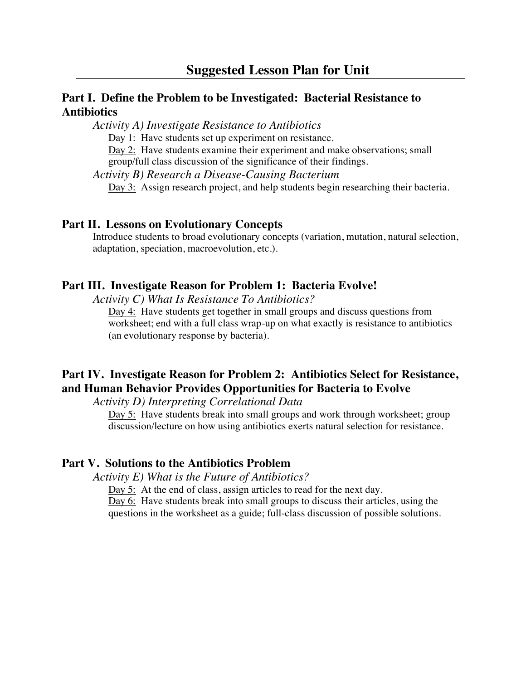## **Part I. Define the Problem to be Investigated: Bacterial Resistance to Antibiotics**

*Activity A) Investigate Resistance to Antibiotics*

Day 1: Have students set up experiment on resistance.

Day 2: Have students examine their experiment and make observations; small group/full class discussion of the significance of their findings.

*Activity B) Research a Disease-Causing Bacterium* Day 3: Assign research project, and help students begin researching their bacteria.

#### **Part II. Lessons on Evolutionary Concepts**

Introduce students to broad evolutionary concepts (variation, mutation, natural selection, adaptation, speciation, macroevolution, etc.).

#### **Part III. Investigate Reason for Problem 1: Bacteria Evolve!**

*Activity C) What Is Resistance To Antibiotics?*

Day 4: Have students get together in small groups and discuss questions from worksheet; end with a full class wrap-up on what exactly is resistance to antibiotics (an evolutionary response by bacteria).

## **Part IV. Investigate Reason for Problem 2: Antibiotics Select for Resistance, and Human Behavior Provides Opportunities for Bacteria to Evolve**

*Activity D) Interpreting Correlational Data*

Day 5: Have students break into small groups and work through worksheet; group discussion/lecture on how using antibiotics exerts natural selection for resistance.

### **Part V. Solutions to the Antibiotics Problem**

*Activity E) What is the Future of Antibiotics?*

Day 5: At the end of class, assign articles to read for the next day.

Day 6: Have students break into small groups to discuss their articles, using the questions in the worksheet as a guide; full-class discussion of possible solutions.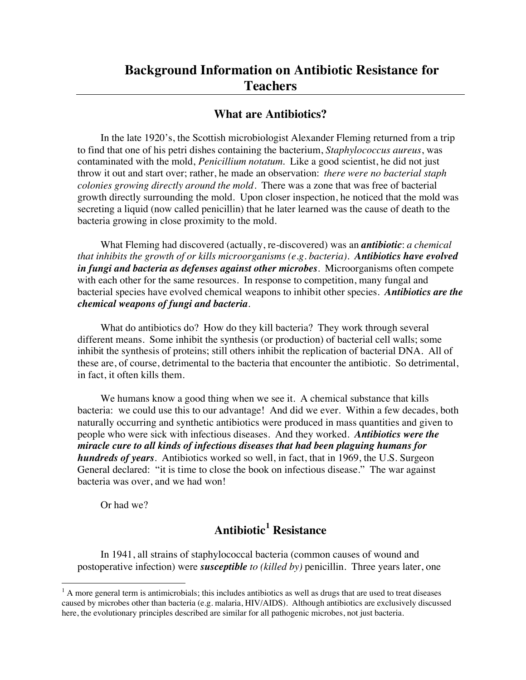#### **What are Antibiotics?**

In the late 1920's, the Scottish microbiologist Alexander Fleming returned from a trip to find that one of his petri dishes containing the bacterium, *Staphylococcus aureus*, was contaminated with the mold, *Penicillium notatum*. Like a good scientist, he did not just throw it out and start over; rather, he made an observation: *there were no bacterial staph colonies growing directly around the mold*. There was a zone that was free of bacterial growth directly surrounding the mold. Upon closer inspection, he noticed that the mold was secreting a liquid (now called penicillin) that he later learned was the cause of death to the bacteria growing in close proximity to the mold.

What Fleming had discovered (actually, re-discovered) was an *antibiotic*: *a chemical that inhibits the growth of or kills microorganisms (e.g. bacteria). Antibiotics have evolved in fungi and bacteria as defenses against other microbes*. Microorganisms often compete with each other for the same resources. In response to competition, many fungal and bacterial species have evolved chemical weapons to inhibit other species. *Antibiotics are the chemical weapons of fungi and bacteria.*

What do antibiotics do? How do they kill bacteria? They work through several different means. Some inhibit the synthesis (or production) of bacterial cell walls; some inhibit the synthesis of proteins; still others inhibit the replication of bacterial DNA. All of these are, of course, detrimental to the bacteria that encounter the antibiotic. So detrimental, in fact, it often kills them.

We humans know a good thing when we see it. A chemical substance that kills bacteria: we could use this to our advantage! And did we ever. Within a few decades, both naturally occurring and synthetic antibiotics were produced in mass quantities and given to people who were sick with infectious diseases. And they worked. *Antibiotics were the miracle cure to all kinds of infectious diseases that had been plaguing humans for hundreds of years.* Antibiotics worked so well, in fact, that in 1969, the U.S. Surgeon General declared: "it is time to close the book on infectious disease." The war against bacteria was over, and we had won!

Or had we?

## **Antibiotic<sup>1</sup> Resistance**

In 1941, all strains of staphylococcal bacteria (common causes of wound and postoperative infection) were *susceptible to (killed by)* penicillin. Three years later, one

 $\frac{1}{1}$  $<sup>1</sup>$  A more general term is antimicrobials; this includes antibiotics as well as drugs that are used to treat diseases</sup> caused by microbes other than bacteria (e.g. malaria, HIV/AIDS). Although antibiotics are exclusively discussed here, the evolutionary principles described are similar for all pathogenic microbes, not just bacteria.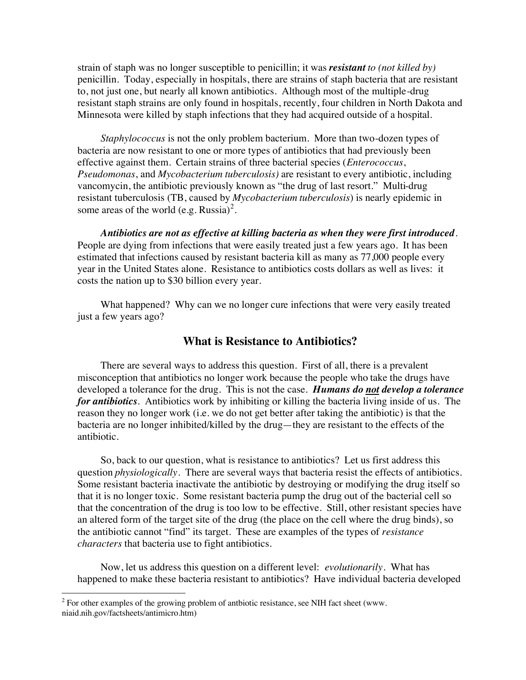strain of staph was no longer susceptible to penicillin; it was *resistant to (not killed by)* penicillin. Today, especially in hospitals, there are strains of staph bacteria that are resistant to, not just one, but nearly all known antibiotics. Although most of the multiple-drug resistant staph strains are only found in hospitals, recently, four children in North Dakota and Minnesota were killed by staph infections that they had acquired outside of a hospital.

*Staphylococcus* is not the only problem bacterium. More than two-dozen types of bacteria are now resistant to one or more types of antibiotics that had previously been effective against them. Certain strains of three bacterial species (*Enterococcus*, *Pseudomonas*, and *Mycobacterium tuberculosis)* are resistant to every antibiotic, including vancomycin, the antibiotic previously known as "the drug of last resort." Multi-drug resistant tuberculosis (TB, caused by *Mycobacterium tuberculosis*) is nearly epidemic in some areas of the world (e.g. Russia)<sup>2</sup>.

*Antibiotics are not as effective at killing bacteria as when they were first introduced*. People are dying from infections that were easily treated just a few years ago. It has been estimated that infections caused by resistant bacteria kill as many as 77,000 people every year in the United States alone. Resistance to antibiotics costs dollars as well as lives: it costs the nation up to \$30 billion every year.

What happened? Why can we no longer cure infections that were very easily treated just a few years ago?

### **What is Resistance to Antibiotics?**

There are several ways to address this question. First of all, there is a prevalent misconception that antibiotics no longer work because the people who take the drugs have developed a tolerance for the drug. This is not the case. *Humans do not develop a tolerance for antibiotics.* Antibiotics work by inhibiting or killing the bacteria living inside of us. The reason they no longer work (i.e. we do not get better after taking the antibiotic) is that the bacteria are no longer inhibited/killed by the drug—they are resistant to the effects of the antibiotic.

So, back to our question, what is resistance to antibiotics? Let us first address this question *physiologically*. There are several ways that bacteria resist the effects of antibiotics. Some resistant bacteria inactivate the antibiotic by destroying or modifying the drug itself so that it is no longer toxic. Some resistant bacteria pump the drug out of the bacterial cell so that the concentration of the drug is too low to be effective. Still, other resistant species have an altered form of the target site of the drug (the place on the cell where the drug binds), so the antibiotic cannot "find" its target. These are examples of the types of *resistance characters* that bacteria use to fight antibiotics.

Now, let us address this question on a different level: *evolutionarily*. What has happened to make these bacteria resistant to antibiotics? Have individual bacteria developed

 $\frac{1}{2}$  $2\degree$  For other examples of the growing problem of antbiotic resistance, see NIH fact sheet (www. niaid.nih.gov/factsheets/antimicro.htm)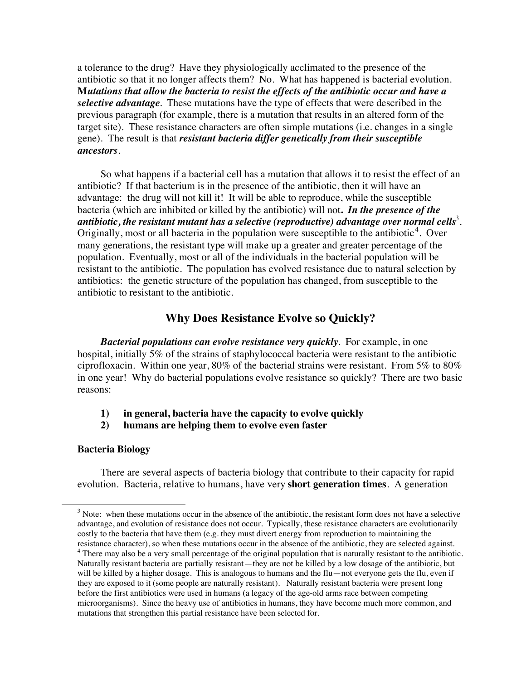a tolerance to the drug? Have they physiologically acclimated to the presence of the antibiotic so that it no longer affects them? No. What has happened is bacterial evolution. **M***utations that allow the bacteria to resist the effects of the antibiotic occur and have a selective advantage.* These mutations have the type of effects that were described in the previous paragraph (for example, there is a mutation that results in an altered form of the target site). These resistance characters are often simple mutations (i.e. changes in a single gene). The result is that *resistant bacteria differ genetically from their susceptible ancestors*.

So what happens if a bacterial cell has a mutation that allows it to resist the effect of an antibiotic? If that bacterium is in the presence of the antibiotic, then it will have an advantage: the drug will not kill it! It will be able to reproduce, while the susceptible bacteria (which are inhibited or killed by the antibiotic) will not**.** *In the presence of the*  antibiotic, the resistant mutant has a selective (reproductive) advantage over normal cells $^3$ . Originally, most or all bacteria in the population were susceptible to the antibiotic<sup>4</sup>. Over many generations, the resistant type will make up a greater and greater percentage of the population. Eventually, most or all of the individuals in the bacterial population will be resistant to the antibiotic. The population has evolved resistance due to natural selection by antibiotics: the genetic structure of the population has changed, from susceptible to the antibiotic to resistant to the antibiotic.

## **Why Does Resistance Evolve so Quickly?**

*Bacterial populations can evolve resistance very quickly*. For example, in one hospital, initially 5% of the strains of staphylococcal bacteria were resistant to the antibiotic ciprofloxacin. Within one year,  $80\%$  of the bacterial strains were resistant. From  $5\%$  to  $80\%$ in one year! Why do bacterial populations evolve resistance so quickly? There are two basic reasons:

- **1) in general, bacteria have the capacity to evolve quickly**
- **2) humans are helping them to evolve even faster**

#### **Bacteria Biology**

There are several aspects of bacteria biology that contribute to their capacity for rapid evolution. Bacteria, relative to humans, have very **short generation times**. A generation

 <sup>3</sup>  $3$  Note: when these mutations occur in the absence of the antibiotic, the resistant form does not have a selective advantage, and evolution of resistance does not occur. Typically, these resistance characters are evolutionarily costly to the bacteria that have them (e.g. they must divert energy from reproduction to maintaining the resistance character), so when these mutations occur in the absence of the antibiotic, they are selected against.

<sup>&</sup>lt;sup>4</sup> There may also be a very small percentage of the original population that is naturally resistant to the antibiotic. Naturally resistant bacteria are partially resistant—they are not be killed by a low dosage of the antibiotic, but will be killed by a higher dosage. This is analogous to humans and the flu—not everyone gets the flu, even if they are exposed to it (some people are naturally resistant). Naturally resistant bacteria were present long before the first antibiotics were used in humans (a legacy of the age-old arms race between competing microorganisms). Since the heavy use of antibiotics in humans, they have become much more common, and mutations that strengthen this partial resistance have been selected for.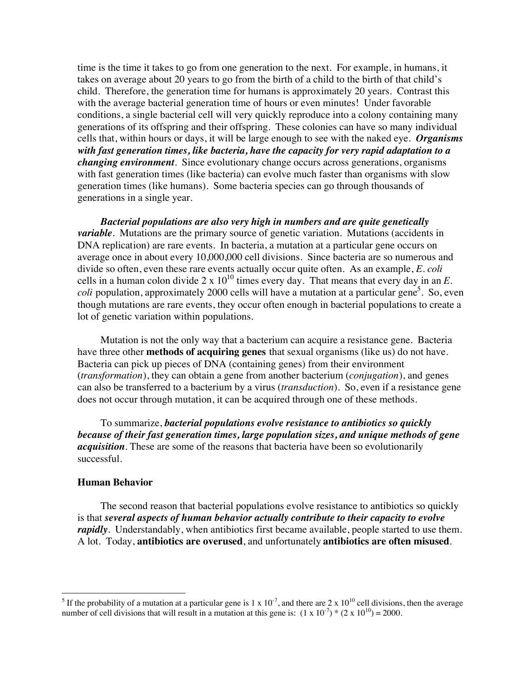time is the time it takes to go from one generation to the next. For example, in humans, it takes on average about 20 years to go from the birth of a child to the birth of that child's child. Therefore, the generation time for humans is approximately 20 years. Contrast this with the average bacterial generation time of hours or even minutes! Under favorable conditions, a single bacterial cell will very quickly reproduce into a colony containing many generations of its offspring and their offspring. These colonies can have so many individual cells that, within hours or days, it will be large enough to see with the naked eye. *Organisms with fast generation times, like bacteria, have the capacity for very rapid adaptation to a changing environment.* Since evolutionary change occurs across generations, organisms with fast generation times (like bacteria) can evolve much faster than organisms with slow generation times (like humans). Some bacteria species can go through thousands of generations in a single year.

*Bacterial populations are also very high in numbers and are quite genetically variable*. Mutations are the primary source of genetic variation. Mutations (accidents in DNA replication) are rare events. In bacteria, a mutation at a particular gene occurs on average once in about every 10,000,000 cell divisions. Since bacteria are so numerous and divide so often, even these rare events actually occur quite often. As an example, *E. coli* cells in a human colon divide  $2 \times 10^{10}$  times every day. That means that every day in an *E*. *coli* population, approximately 2000 cells will have a mutation at a particular gene<sup>5</sup>. So, even though mutations are rare events, they occur often enough in bacterial populations to create a lot of genetic variation within populations.

Mutation is not the only way that a bacterium can acquire a resistance gene. Bacteria have three other **methods of acquiring genes** that sexual organisms (like us) do not have. Bacteria can pick up pieces of DNA (containing genes) from their environment (*transformation*), they can obtain a gene from another bacterium (*conjugation*), and genes can also be transferred to a bacterium by a virus (*transduction*). So, even if a resistance gene does not occur through mutation, it can be acquired through one of these methods.

To summarize, *bacterial populations evolve resistance to antibiotics so quickly because of their fast generation times, large population sizes, and unique methods of gene acquisition.* These are some of the reasons that bacteria have been so evolutionarily successful.

#### **Human Behavior**

The second reason that bacterial populations evolve resistance to antibiotics so quickly is that *several aspects of human behavior actually contribute to their capacity to evolve rapidly*. Understandably, when antibiotics first became available, people started to use them. A lot. Today, **antibiotics are overused**, and unfortunately **antibiotics are often misused**.

 $\frac{1}{5}$ If the probability of a mutation at a particular gene is 1 x  $10^{-7}$ , and there are 2 x  $10^{10}$  cell divisions, then the average number of cell divisions that will result in a mutation at this gene is:  $(1 \times 10^{-7}) * (2 \times 10^{10}) = 2000$ .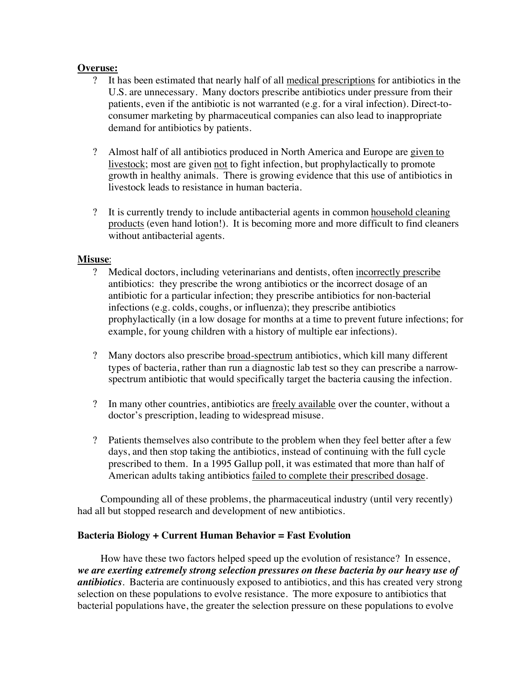#### **Overuse:**

- ? It has been estimated that nearly half of all medical prescriptions for antibiotics in the U.S. are unnecessary. Many doctors prescribe antibiotics under pressure from their patients, even if the antibiotic is not warranted (e.g. for a viral infection). Direct-toconsumer marketing by pharmaceutical companies can also lead to inappropriate demand for antibiotics by patients.
- ? Almost half of all antibiotics produced in North America and Europe are given to livestock; most are given not to fight infection, but prophylactically to promote growth in healthy animals. There is growing evidence that this use of antibiotics in livestock leads to resistance in human bacteria.
- ? It is currently trendy to include antibacterial agents in common household cleaning products (even hand lotion!). It is becoming more and more difficult to find cleaners without antibacterial agents.

#### **Misuse**:

- ? Medical doctors, including veterinarians and dentists, often incorrectly prescribe antibiotics: they prescribe the wrong antibiotics or the incorrect dosage of an antibiotic for a particular infection; they prescribe antibiotics for non-bacterial infections (e.g. colds, coughs, or influenza); they prescribe antibiotics prophylactically (in a low dosage for months at a time to prevent future infections; for example, for young children with a history of multiple ear infections).
- ? Many doctors also prescribe broad-spectrum antibiotics, which kill many different types of bacteria, rather than run a diagnostic lab test so they can prescribe a narrowspectrum antibiotic that would specifically target the bacteria causing the infection.
- ? In many other countries, antibiotics are freely available over the counter, without a doctor's prescription, leading to widespread misuse.
- ? Patients themselves also contribute to the problem when they feel better after a few days, and then stop taking the antibiotics, instead of continuing with the full cycle prescribed to them. In a 1995 Gallup poll, it was estimated that more than half of American adults taking antibiotics failed to complete their prescribed dosage.

Compounding all of these problems, the pharmaceutical industry (until very recently) had all but stopped research and development of new antibiotics.

### **Bacteria Biology + Current Human Behavior = Fast Evolution**

How have these two factors helped speed up the evolution of resistance? In essence, *we are exerting extremely strong selection pressures on these bacteria by our heavy use of antibiotics*. Bacteria are continuously exposed to antibiotics, and this has created very strong selection on these populations to evolve resistance. The more exposure to antibiotics that bacterial populations have, the greater the selection pressure on these populations to evolve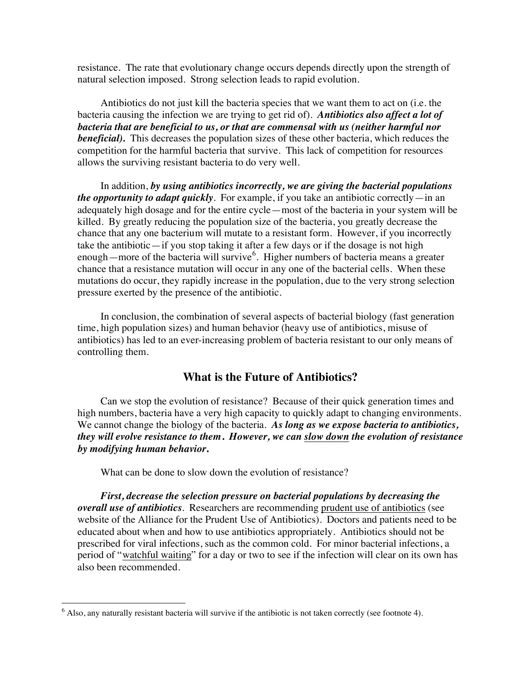resistance. The rate that evolutionary change occurs depends directly upon the strength of natural selection imposed. Strong selection leads to rapid evolution.

Antibiotics do not just kill the bacteria species that we want them to act on (i.e. the bacteria causing the infection we are trying to get rid of). *Antibiotics also affect a lot of bacteria that are beneficial to us, or that are commensal with us (neither harmful nor beneficial).* This decreases the population sizes of these other bacteria, which reduces the competition for the harmful bacteria that survive. This lack of competition for resources allows the surviving resistant bacteria to do very well.

In addition, *by using antibiotics incorrectly, we are giving the bacterial populations the opportunity to adapt quickly*. For example, if you take an antibiotic correctly—in an adequately high dosage and for the entire cycle—most of the bacteria in your system will be killed. By greatly reducing the population size of the bacteria, you greatly decrease the chance that any one bacterium will mutate to a resistant form. However, if you incorrectly take the antibiotic—if you stop taking it after a few days or if the dosage is not high enough—more of the bacteria will survive<sup>6</sup>. Higher numbers of bacteria means a greater chance that a resistance mutation will occur in any one of the bacterial cells. When these mutations do occur, they rapidly increase in the population, due to the very strong selection pressure exerted by the presence of the antibiotic.

In conclusion, the combination of several aspects of bacterial biology (fast generation time, high population sizes) and human behavior (heavy use of antibiotics, misuse of antibiotics) has led to an ever-increasing problem of bacteria resistant to our only means of controlling them.

#### **What is the Future of Antibiotics?**

Can we stop the evolution of resistance? Because of their quick generation times and high numbers, bacteria have a very high capacity to quickly adapt to changing environments. We cannot change the biology of the bacteria. *As long as we expose bacteria to antibiotics, they will evolve resistance to them***.** *However, we can slow down the evolution of resistance by modifying human behavior***.**

What can be done to slow down the evolution of resistance?

*First, decrease the selection pressure on bacterial populations by decreasing the overall use of antibiotics*. Researchers are recommending prudent use of antibiotics (see website of the Alliance for the Prudent Use of Antibiotics). Doctors and patients need to be educated about when and how to use antibiotics appropriately. Antibiotics should not be prescribed for viral infections, such as the common cold. For minor bacterial infections, a period of "watchful waiting" for a day or two to see if the infection will clear on its own has also been recommended.

 <sup>6</sup>  $6$  Also, any naturally resistant bacteria will survive if the antibiotic is not taken correctly (see footnote 4).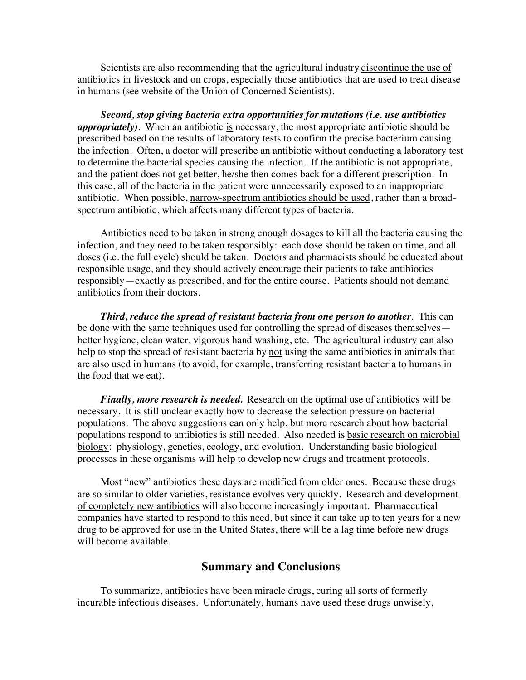Scientists are also recommending that the agricultural industry discontinue the use of antibiotics in livestock and on crops, especially those antibiotics that are used to treat disease in humans (see website of the Union of Concerned Scientists).

*Second, stop giving bacteria extra opportunities for mutations (i.e. use antibiotics appropriately)*. When an antibiotic is necessary, the most appropriate antibiotic should be prescribed based on the results of laboratory tests to confirm the precise bacterium causing the infection. Often, a doctor will prescribe an antibiotic without conducting a laboratory test to determine the bacterial species causing the infection. If the antibiotic is not appropriate, and the patient does not get better, he/she then comes back for a different prescription. In this case, all of the bacteria in the patient were unnecessarily exposed to an inappropriate antibiotic. When possible, narrow-spectrum antibiotics should be used, rather than a broadspectrum antibiotic, which affects many different types of bacteria.

Antibiotics need to be taken in strong enough dosages to kill all the bacteria causing the infection, and they need to be taken responsibly: each dose should be taken on time, and all doses (i.e. the full cycle) should be taken. Doctors and pharmacists should be educated about responsible usage, and they should actively encourage their patients to take antibiotics responsibly—exactly as prescribed, and for the entire course. Patients should not demand antibiotics from their doctors.

*Third, reduce the spread of resistant bacteria from one person to another*. This can be done with the same techniques used for controlling the spread of diseases themselves better hygiene, clean water, vigorous hand washing, etc. The agricultural industry can also help to stop the spread of resistant bacteria by not using the same antibiotics in animals that are also used in humans (to avoid, for example, transferring resistant bacteria to humans in the food that we eat).

*Finally, more research is needed.* Research on the optimal use of antibiotics will be necessary. It is still unclear exactly how to decrease the selection pressure on bacterial populations. The above suggestions can only help, but more research about how bacterial populations respond to antibiotics is still needed. Also needed is basic research on microbial biology: physiology, genetics, ecology, and evolution. Understanding basic biological processes in these organisms will help to develop new drugs and treatment protocols.

Most "new" antibiotics these days are modified from older ones. Because these drugs are so similar to older varieties, resistance evolves very quickly. Research and development of completely new antibiotics will also become increasingly important. Pharmaceutical companies have started to respond to this need, but since it can take up to ten years for a new drug to be approved for use in the United States, there will be a lag time before new drugs will become available.

#### **Summary and Conclusions**

To summarize, antibiotics have been miracle drugs, curing all sorts of formerly incurable infectious diseases. Unfortunately, humans have used these drugs unwisely,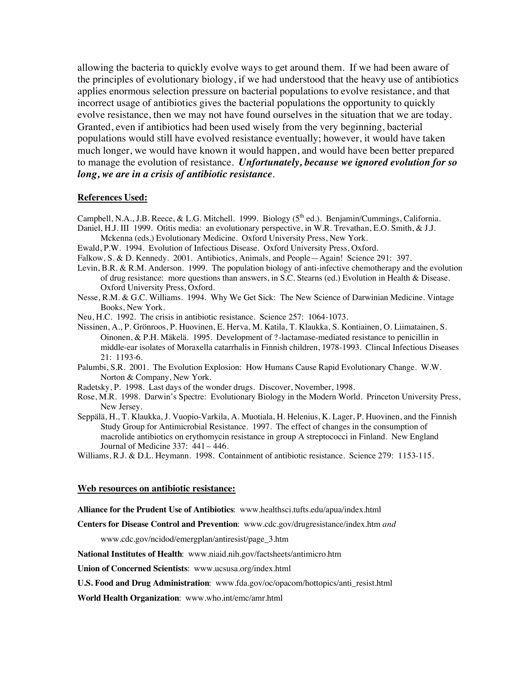allowing the bacteria to quickly evolve ways to get around them. If we had been aware of the principles of evolutionary biology, if we had understood that the heavy use of antibiotics applies enormous selection pressure on bacterial populations to evolve resistance, and that incorrect usage of antibiotics gives the bacterial populations the opportunity to quickly evolve resistance, then we may not have found ourselves in the situation that we are today. Granted, even if antibiotics had been used wisely from the very beginning, bacterial populations would still have evolved resistance eventually; however, it would have taken much longer, we would have known it would happen, and would have been better prepared to manage the evolution of resistance. *Unfortunately, because we ignored evolution for so long, we are in a crisis of antibiotic resistance.*

#### **References Used:**

- Campbell, N.A., J.B. Reece, & L.G. Mitchell. 1999. Biology (5<sup>th</sup> ed.). Benjamin/Cummings, California.
- Daniel, H.J. III 1999. Otitis media: an evolutionary perspective, in W.R. Trevathan, E.O. Smith, & J.J. Mckenna (eds.) Evolutionary Medicine. Oxford University Press, New York.
- Ewald, P.W. 1994. Evolution of Infectious Disease. Oxford University Press, Oxford.
- Falkow, S. & D. Kennedy. 2001. Antibiotics, Animals, and People—Again! Science 291: 397.
- Levin, B.R. & R.M. Anderson. 1999. The population biology of anti-infective chemotherapy and the evolution of drug resistance: more questions than answers, in S.C. Stearns (ed.) Evolution in Health & Disease. Oxford University Press, Oxford.
- Nesse, R.M. & G.C. Williams. 1994. Why We Get Sick: The New Science of Darwinian Medicine. Vintage Books, New York.
- Neu, H.C. 1992. The crisis in antibiotic resistance. Science 257: 1064-1073.
- Nissinen, A., P. Grönroos, P. Huovinen, E. Herva, M. Katila, T. Klaukka, S. Kontiainen, O. Liimatainen, S. Oinonen, & P.H. Mäkelä. 1995. Development of ?-lactamase-mediated resistance to penicillin in middle-ear isolates of Moraxella catarrhalis in Finnish children, 1978-1993. Clincal Infectious Diseases 21: 1193-6.
- Palumbi, S.R. 2001. The Evolution Explosion: How Humans Cause Rapid Evolutionary Change. W.W. Norton & Company, New York.
- Radetsky, P. 1998. Last days of the wonder drugs. Discover, November, 1998.
- Rose, M.R. 1998. Darwin's Spectre: Evolutionary Biology in the Modern World. Princeton University Press, New Jersey.
- Seppälä, H., T. Klaukka, J. Vuopio-Varkila, A. Muotiala, H. Helenius, K. Lager, P. Huovinen, and the Finnish Study Group for Antimicrobial Resistance. 1997. The effect of changes in the consumption of macrolide antibiotics on erythomycin resistance in group A streptococci in Finland. New England Journal of Medicine 337: 441 – 446.

Williams, R.J. & D.L. Heymann. 1998. Containment of antibiotic resistance. Science 279: 1153-115.

#### **Web resources on antibiotic resistance:**

**Alliance for the Prudent Use of Antibiotics**: www.healthsci.tufts.edu/apua/index.html

**Centers for Disease Control and Prevention**: www.cdc.gov/drugresistance/index.htm *and*

www.cdc.gov/ncidod/emergplan/antiresist/page\_3.htm

**National Institutes of Health**: www.niaid.nih.gov/factsheets/antimicro.htm

**Union of Concerned Scientists**: www.ucsusa.org/index.html

**U.S. Food and Drug Administration**: www.fda.gov/oc/opacom/hottopics/anti\_resist.html

**World Health Organization**: www.who.int/emc/amr.html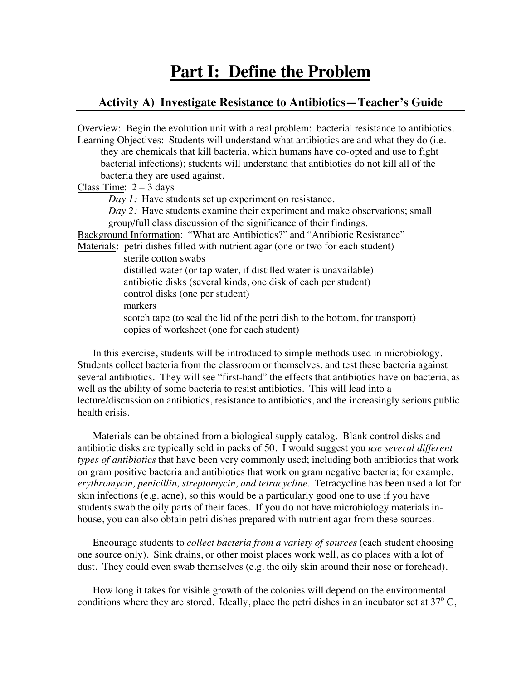# **Part I: Define the Problem**

#### **Activity A) Investigate Resistance to Antibiotics—Teacher's Guide**

Overview: Begin the evolution unit with a real problem: bacterial resistance to antibiotics. Learning Objectives: Students will understand what antibiotics are and what they do (i.e. they are chemicals that kill bacteria, which humans have co-opted and use to fight bacterial infections); students will understand that antibiotics do not kill all of the bacteria they are used against. Class Time:  $2 - 3$  days *Day 1:* Have students set up experiment on resistance. *Day 2:* Have students examine their experiment and make observations; small group/full class discussion of the significance of their findings. Background Information: "What are Antibiotics?" and "Antibiotic Resistance" Materials: petri dishes filled with nutrient agar (one or two for each student) sterile cotton swabs distilled water (or tap water, if distilled water is unavailable) antibiotic disks (several kinds, one disk of each per student) control disks (one per student) markers scotch tape (to seal the lid of the petri dish to the bottom, for transport) copies of worksheet (one for each student)

In this exercise, students will be introduced to simple methods used in microbiology. Students collect bacteria from the classroom or themselves, and test these bacteria against several antibiotics. They will see "first-hand" the effects that antibiotics have on bacteria, as well as the ability of some bacteria to resist antibiotics. This will lead into a lecture/discussion on antibiotics, resistance to antibiotics, and the increasingly serious public health crisis.

Materials can be obtained from a biological supply catalog. Blank control disks and antibiotic disks are typically sold in packs of 50. I would suggest you *use several different types of antibiotics* that have been very commonly used; including both antibiotics that work on gram positive bacteria and antibiotics that work on gram negative bacteria; for example, *erythromycin, penicillin, streptomycin, and tetracycline*. Tetracycline has been used a lot for skin infections (e.g. acne), so this would be a particularly good one to use if you have students swab the oily parts of their faces. If you do not have microbiology materials inhouse, you can also obtain petri dishes prepared with nutrient agar from these sources.

Encourage students to *collect bacteria from a variety of sources* (each student choosing one source only). Sink drains, or other moist places work well, as do places with a lot of dust. They could even swab themselves (e.g. the oily skin around their nose or forehead).

How long it takes for visible growth of the colonies will depend on the environmental conditions where they are stored. Ideally, place the petri dishes in an incubator set at  $37^{\circ}$  C,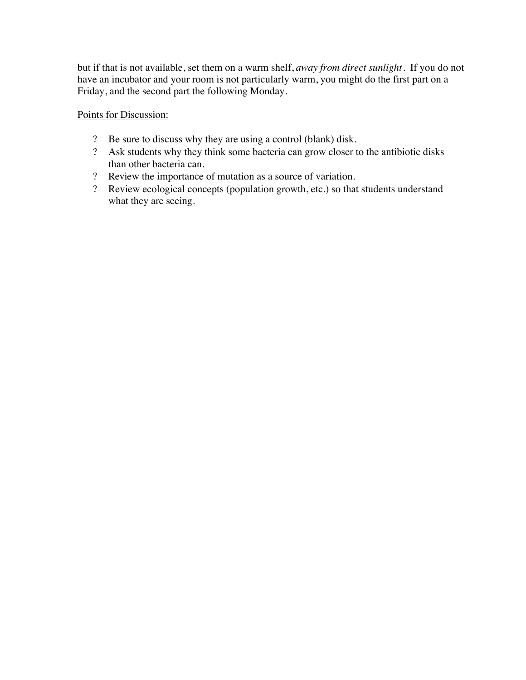but if that is not available, set them on a warm shelf, *away from direct sunlight*. If you do not have an incubator and your room is not particularly warm, you might do the first part on a Friday, and the second part the following Monday.

Points for Discussion:

- ? Be sure to discuss why they are using a control (blank) disk.
- ? Ask students why they think some bacteria can grow closer to the antibiotic disks than other bacteria can.
- ? Review the importance of mutation as a source of variation.
- ? Review ecological concepts (population growth, etc.) so that students understand what they are seeing.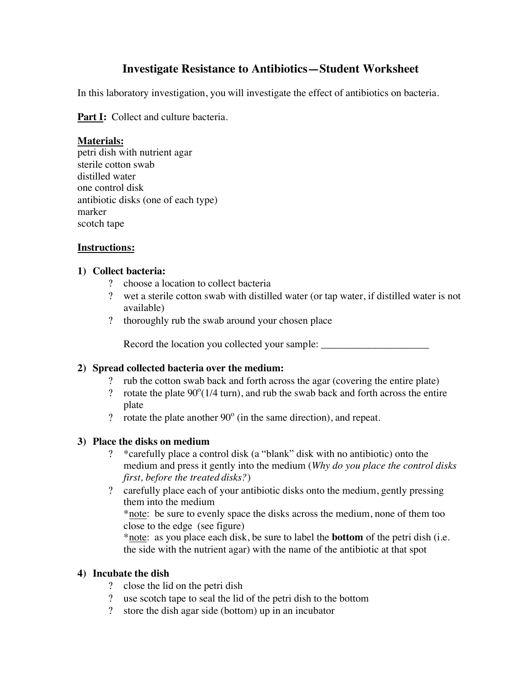## **Investigate Resistance to Antibiotics—Student Worksheet**

In this laboratory investigation, you will investigate the effect of antibiotics on bacteria.

**Part I:** Collect and culture bacteria.

## **Materials:**

petri dish with nutrient agar sterile cotton swab distilled water one control disk antibiotic disks (one of each type) marker scotch tape

## **Instructions:**

### **1) Collect bacteria:**

- ? choose a location to collect bacteria
- ? wet a sterile cotton swab with distilled water (or tap water, if distilled water is not available)
- ? thoroughly rub the swab around your chosen place

Record the location you collected your sample: \_\_\_\_\_\_\_\_\_\_\_\_\_\_\_\_\_\_\_\_\_\_\_\_\_\_\_\_\_\_\_\_\_\_

### **2) Spread collected bacteria over the medium:**

- ? rub the cotton swab back and forth across the agar (covering the entire plate)<br>
? rotate the plate  $90^{\circ}$  (1/4 turn), and rub the swab back and forth across the entire
- ? rotate the plate  $90^{\circ}$ (1/4 turn), and rub the swab back and forth across the entire plate
- ? rotate the plate another  $90^\circ$  (in the same direction), and repeat.

### **3) Place the disks on medium**

- ? \*carefully place a control disk (a "blank" disk with no antibiotic) onto the medium and press it gently into the medium (*Why do you place the control disks first, before the treated disks?*)
- ? carefully place each of your antibiotic disks onto the medium, gently pressing them into the medium

\*note: be sure to evenly space the disks across the medium, none of them too close to the edge (see figure)

\*note: as you place each disk, be sure to label the **bottom** of the petri dish (i.e. the side with the nutrient agar) with the name of the antibiotic at that spot

### **4) Incubate the dish**

- ? close the lid on the petri dish
- ? use scotch tape to seal the lid of the petri dish to the bottom
- ? store the dish agar side (bottom) up in an incubator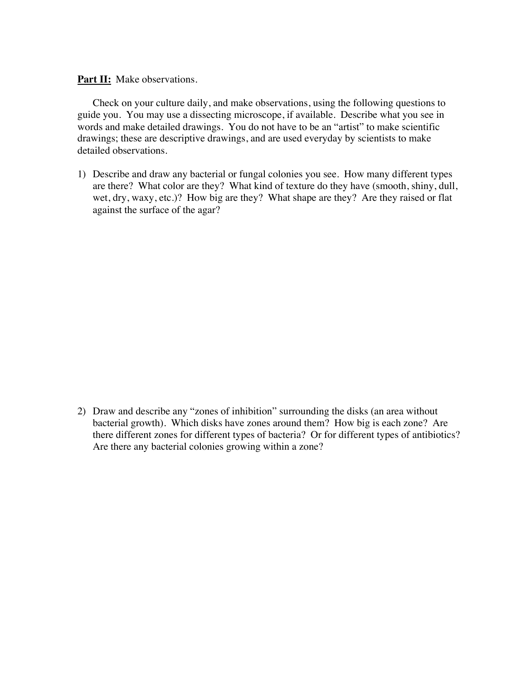**Part II:** Make observations.

Check on your culture daily, and make observations, using the following questions to guide you. You may use a dissecting microscope, if available. Describe what you see in words and make detailed drawings. You do not have to be an "artist" to make scientific drawings; these are descriptive drawings, and are used everyday by scientists to make detailed observations.

1) Describe and draw any bacterial or fungal colonies you see. How many different types are there? What color are they? What kind of texture do they have (smooth, shiny, dull, wet, dry, waxy, etc.)? How big are they? What shape are they? Are they raised or flat against the surface of the agar?

2) Draw and describe any "zones of inhibition" surrounding the disks (an area without bacterial growth). Which disks have zones around them? How big is each zone? Are there different zones for different types of bacteria? Or for different types of antibiotics? Are there any bacterial colonies growing within a zone?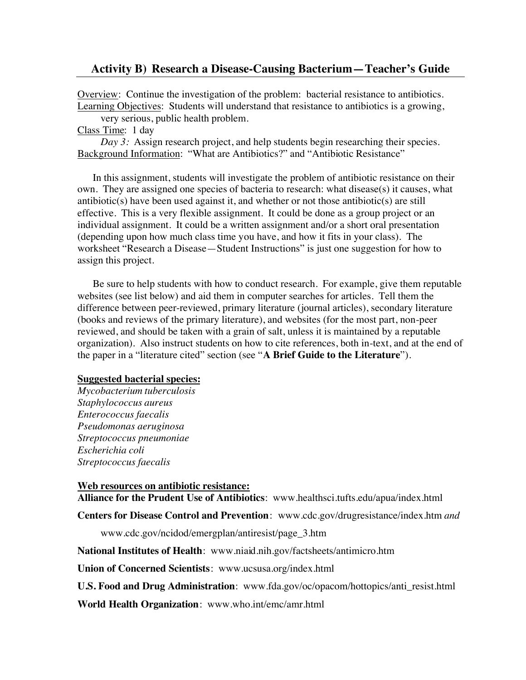#### **Activity B) Research a Disease-Causing Bacterium—Teacher's Guide**

Overview: Continue the investigation of the problem: bacterial resistance to antibiotics. Learning Objectives: Students will understand that resistance to antibiotics is a growing,

very serious, public health problem.

Class Time: 1 day

*Day 3:* Assign research project, and help students begin researching their species. Background Information: "What are Antibiotics?" and "Antibiotic Resistance"

In this assignment, students will investigate the problem of antibiotic resistance on their own. They are assigned one species of bacteria to research: what disease(s) it causes, what antibiotic(s) have been used against it, and whether or not those antibiotic(s) are still effective. This is a very flexible assignment. It could be done as a group project or an individual assignment. It could be a written assignment and/or a short oral presentation (depending upon how much class time you have, and how it fits in your class). The worksheet "Research a Disease—Student Instructions" is just one suggestion for how to assign this project.

Be sure to help students with how to conduct research. For example, give them reputable websites (see list below) and aid them in computer searches for articles. Tell them the difference between peer-reviewed, primary literature (journal articles), secondary literature (books and reviews of the primary literature), and websites (for the most part, non-peer reviewed, and should be taken with a grain of salt, unless it is maintained by a reputable organization). Also instruct students on how to cite references, both in-text, and at the end of the paper in a "literature cited" section (see "**A Brief Guide to the Literature**").

#### **Suggested bacterial species:**

*Mycobacterium tuberculosis Staphylococcus aureus Enterococcus faecalis Pseudomonas aeruginosa Streptococcus pneumoniae Escherichia coli Streptococcus faecalis*

**Web resources on antibiotic resistance: Alliance for the Prudent Use of Antibiotics**: www.healthsci.tufts.edu/apua/index.html

**Centers for Disease Control and Prevention**: www.cdc.gov/drugresistance/index.htm *and*

www.cdc.gov/ncidod/emergplan/antiresist/page\_3.htm

**National Institutes of Health**: www.niaid.nih.gov/factsheets/antimicro.htm

**Union of Concerned Scientists**: www.ucsusa.org/index.html

**U.S. Food and Drug Administration**: www.fda.gov/oc/opacom/hottopics/anti\_resist.html

**World Health Organization**: www.who.int/emc/amr.html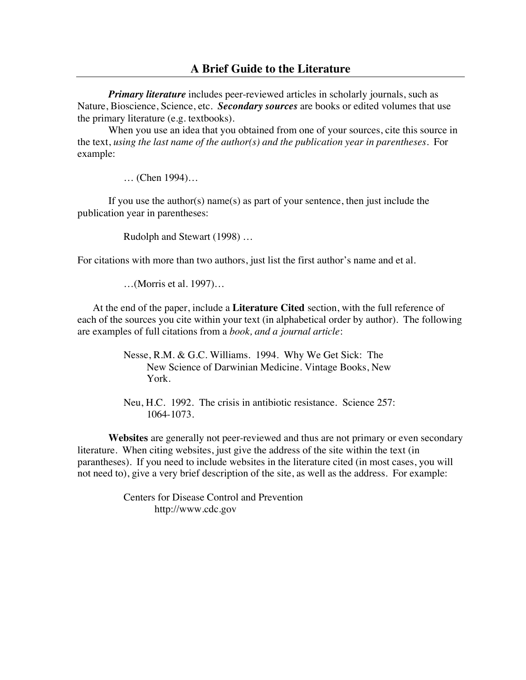*Primary literature* includes peer-reviewed articles in scholarly journals, such as Nature, Bioscience, Science, etc. *Secondary sources* are books or edited volumes that use the primary literature (e.g. textbooks).

When you use an idea that you obtained from one of your sources, cite this source in the text, *using the last name of the author(s) and the publication year in parentheses*. For example:

… (Chen 1994)…

If you use the author(s) name(s) as part of your sentence, then just include the publication year in parentheses:

Rudolph and Stewart (1998) …

For citations with more than two authors, just list the first author's name and et al.

…(Morris et al. 1997)…

At the end of the paper, include a **Literature Cited** section, with the full reference of each of the sources you cite within your text (in alphabetical order by author). The following are examples of full citations from a *book, and a journal article*:

> Nesse, R.M. & G.C. Williams. 1994. Why We Get Sick: The New Science of Darwinian Medicine. Vintage Books, New York.

Neu, H.C. 1992. The crisis in antibiotic resistance. Science 257: 1064-1073.

**Websites** are generally not peer-reviewed and thus are not primary or even secondary literature. When citing websites, just give the address of the site within the text (in parantheses). If you need to include websites in the literature cited (in most cases, you will not need to), give a very brief description of the site, as well as the address. For example:

> Centers for Disease Control and Prevention http://www.cdc.gov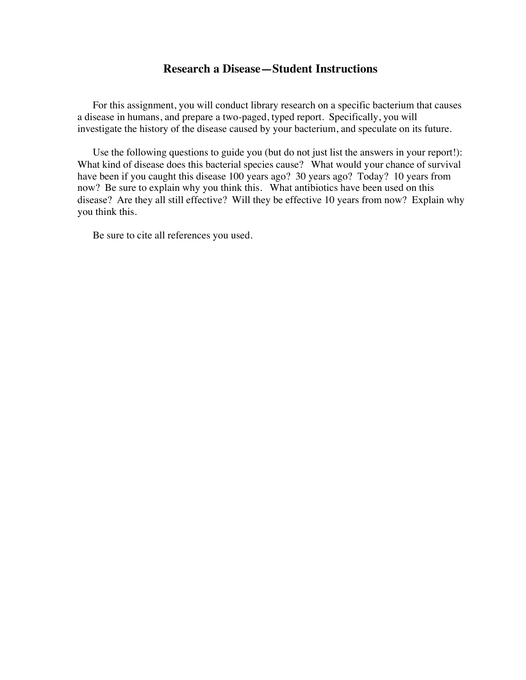#### **Research a Disease—Student Instructions**

For this assignment, you will conduct library research on a specific bacterium that causes a disease in humans, and prepare a two-paged, typed report. Specifically, you will investigate the history of the disease caused by your bacterium, and speculate on its future.

Use the following questions to guide you (but do not just list the answers in your report!): What kind of disease does this bacterial species cause? What would your chance of survival have been if you caught this disease 100 years ago? 30 years ago? Today? 10 years from now? Be sure to explain why you think this. What antibiotics have been used on this disease? Are they all still effective? Will they be effective 10 years from now? Explain why you think this.

Be sure to cite all references you used.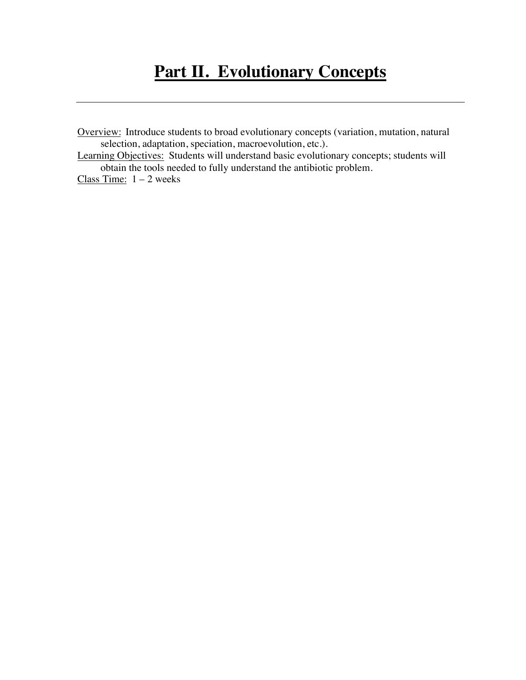Overview: Introduce students to broad evolutionary concepts (variation, mutation, natural selection, adaptation, speciation, macroevolution, etc.).

Learning Objectives: Students will understand basic evolutionary concepts; students will obtain the tools needed to fully understand the antibiotic problem.

Class Time:  $1 - 2$  weeks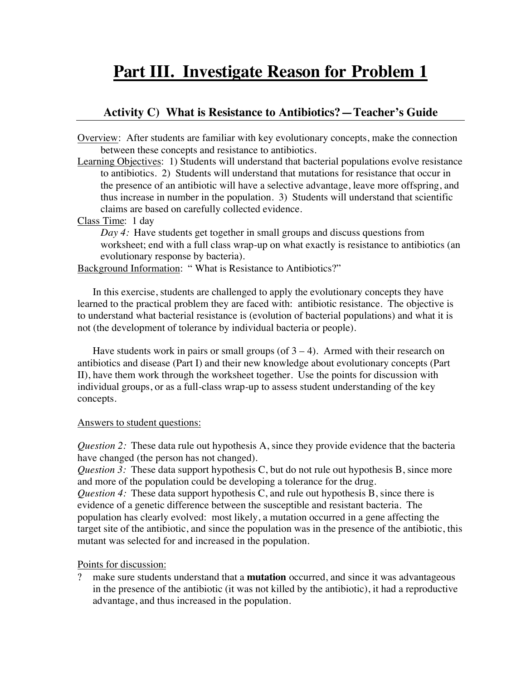# **Part III. Investigate Reason for Problem 1**

## **Activity C) What is Resistance to Antibiotics?—Teacher's Guide**

Overview: After students are familiar with key evolutionary concepts, make the connection between these concepts and resistance to antibiotics.

Learning Objectives: 1) Students will understand that bacterial populations evolve resistance to antibiotics. 2) Students will understand that mutations for resistance that occur in the presence of an antibiotic will have a selective advantage, leave more offspring, and thus increase in number in the population. 3) Students will understand that scientific claims are based on carefully collected evidence.

Class Time: 1 day

*Day 4:* Have students get together in small groups and discuss questions from worksheet; end with a full class wrap-up on what exactly is resistance to antibiotics (an evolutionary response by bacteria).

Background Information: " What is Resistance to Antibiotics?"

In this exercise, students are challenged to apply the evolutionary concepts they have learned to the practical problem they are faced with: antibiotic resistance. The objective is to understand what bacterial resistance is (evolution of bacterial populations) and what it is not (the development of tolerance by individual bacteria or people).

Have students work in pairs or small groups (of  $3 - 4$ ). Armed with their research on antibiotics and disease (Part I) and their new knowledge about evolutionary concepts (Part II), have them work through the worksheet together. Use the points for discussion with individual groups, or as a full-class wrap-up to assess student understanding of the key concepts.

#### Answers to student questions:

*Question 2:* These data rule out hypothesis A, since they provide evidence that the bacteria have changed (the person has not changed).

*Question 3:* These data support hypothesis C, but do not rule out hypothesis B, since more and more of the population could be developing a tolerance for the drug.

*Question 4:* These data support hypothesis C, and rule out hypothesis B, since there is evidence of a genetic difference between the susceptible and resistant bacteria. The population has clearly evolved: most likely, a mutation occurred in a gene affecting the target site of the antibiotic, and since the population was in the presence of the antibiotic, this mutant was selected for and increased in the population.

Points for discussion:

? make sure students understand that a **mutation** occurred, and since it was advantageous in the presence of the antibiotic (it was not killed by the antibiotic), it had a reproductive advantage, and thus increased in the population.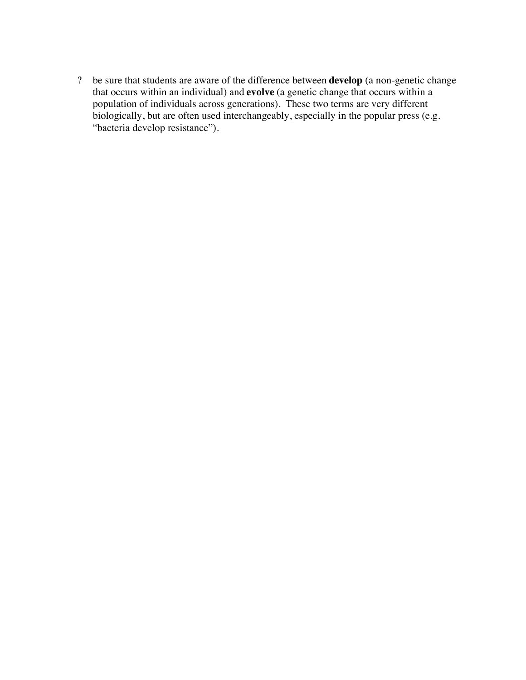? be sure that students are aware of the difference between **develop** (a non-genetic change that occurs within an individual) and **evolve** (a genetic change that occurs within a population of individuals across generations). These two terms are very different biologically, but are often used interchangeably, especially in the popular press (e.g. "bacteria develop resistance").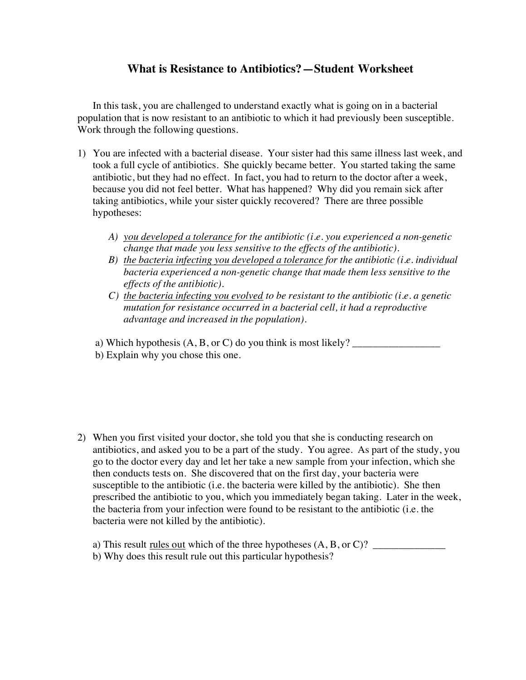## **What is Resistance to Antibiotics?—Student Worksheet**

In this task, you are challenged to understand exactly what is going on in a bacterial population that is now resistant to an antibiotic to which it had previously been susceptible. Work through the following questions.

- 1) You are infected with a bacterial disease. Your sister had this same illness last week, and took a full cycle of antibiotics. She quickly became better. You started taking the same antibiotic, but they had no effect. In fact, you had to return to the doctor after a week, because you did not feel better. What has happened? Why did you remain sick after taking antibiotics, while your sister quickly recovered? There are three possible hypotheses:
	- *A) you developed a tolerance for the antibiotic (i.e. you experienced a non-genetic change that made you less sensitive to the effects of the antibiotic).*
	- *B) the bacteria infecting you developed a tolerance for the antibiotic (i.e. individual bacteria experienced a non-genetic change that made them less sensitive to the effects of the antibiotic).*
	- *C) the bacteria infecting you evolved to be resistant to the antibiotic (i.e. a genetic mutation for resistance occurred in a bacterial cell, it had a reproductive advantage and increased in the population).*

a) Which hypothesis (A, B, or C) do you think is most likely? \_\_\_\_\_\_\_\_\_\_\_\_\_\_\_\_\_

b) Explain why you chose this one.

2) When you first visited your doctor, she told you that she is conducting research on antibiotics, and asked you to be a part of the study. You agree. As part of the study, you go to the doctor every day and let her take a new sample from your infection, which she then conducts tests on. She discovered that on the first day, your bacteria were susceptible to the antibiotic (i.e. the bacteria were killed by the antibiotic). She then prescribed the antibiotic to you, which you immediately began taking. Later in the week, the bacteria from your infection were found to be resistant to the antibiotic (i.e. the bacteria were not killed by the antibiotic).

a) This result rules out which of the three hypotheses  $(A, B, or C)$ ? b) Why does this result rule out this particular hypothesis?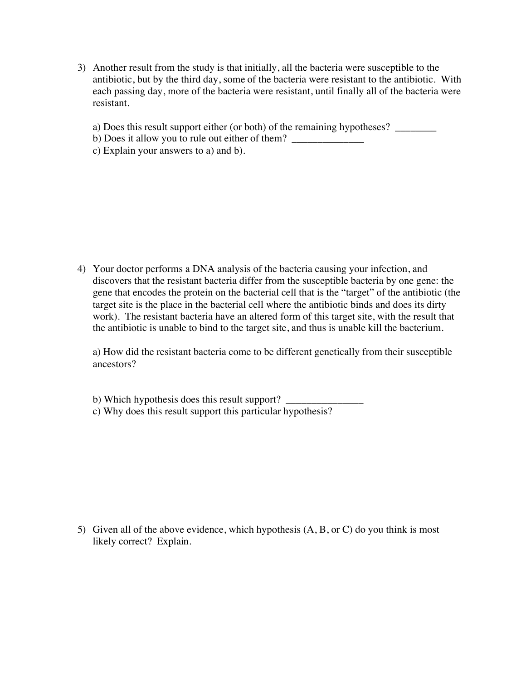- 3) Another result from the study is that initially, all the bacteria were susceptible to the antibiotic, but by the third day, some of the bacteria were resistant to the antibiotic. With each passing day, more of the bacteria were resistant, until finally all of the bacteria were resistant.
	- a) Does this result support either (or both) of the remaining hypotheses? \_\_\_\_\_\_\_
	- b) Does it allow you to rule out either of them? \_\_\_\_\_\_\_\_\_\_\_\_\_\_\_\_\_\_\_\_\_\_\_\_\_\_\_\_\_\_\_\_
	- c) Explain your answers to a) and b).

4) Your doctor performs a DNA analysis of the bacteria causing your infection, and discovers that the resistant bacteria differ from the susceptible bacteria by one gene: the gene that encodes the protein on the bacterial cell that is the "target" of the antibiotic (the target site is the place in the bacterial cell where the antibiotic binds and does its dirty work). The resistant bacteria have an altered form of this target site, with the result that the antibiotic is unable to bind to the target site, and thus is unable kill the bacterium.

a) How did the resistant bacteria come to be different genetically from their susceptible ancestors?

b) Which hypothesis does this result support? c) Why does this result support this particular hypothesis?

5) Given all of the above evidence, which hypothesis (A, B, or C) do you think is most likely correct? Explain.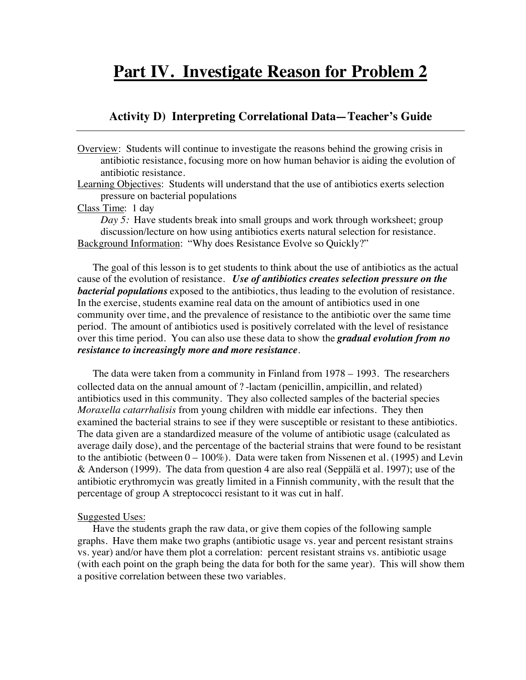# **Part IV. Investigate Reason for Problem 2**

#### **Activity D) Interpreting Correlational Data—Teacher's Guide**

Overview: Students will continue to investigate the reasons behind the growing crisis in antibiotic resistance, focusing more on how human behavior is aiding the evolution of antibiotic resistance.

Learning Objectives: Students will understand that the use of antibiotics exerts selection pressure on bacterial populations

Class Time: 1 day

*Day 5:* Have students break into small groups and work through worksheet; group discussion/lecture on how using antibiotics exerts natural selection for resistance. Background Information: "Why does Resistance Evolve so Quickly?"

The goal of this lesson is to get students to think about the use of antibiotics as the actual cause of the evolution of resistance. *Use of antibiotics creates selection pressure on the bacterial populations* exposed to the antibiotics, thus leading to the evolution of resistance. In the exercise, students examine real data on the amount of antibiotics used in one community over time, and the prevalence of resistance to the antibiotic over the same time period. The amount of antibiotics used is positively correlated with the level of resistance over this time period. You can also use these data to show the *gradual evolution from no resistance to increasingly more and more resistance*.

The data were taken from a community in Finland from 1978 – 1993. The researchers collected data on the annual amount of ? -lactam (penicillin, ampicillin, and related) antibiotics used in this community. They also collected samples of the bacterial species *Moraxella catarrhalisis* from young children with middle ear infections. They then examined the bacterial strains to see if they were susceptible or resistant to these antibiotics. The data given are a standardized measure of the volume of antibiotic usage (calculated as average daily dose), and the percentage of the bacterial strains that were found to be resistant to the antibiotic (between  $0 - 100\%$ ). Data were taken from Nissenen et al. (1995) and Levin & Anderson (1999). The data from question 4 are also real (Seppälä et al. 1997); use of the antibiotic erythromycin was greatly limited in a Finnish community, with the result that the percentage of group A streptococci resistant to it was cut in half.

#### Suggested Uses:

Have the students graph the raw data, or give them copies of the following sample graphs. Have them make two graphs (antibiotic usage vs. year and percent resistant strains vs. year) and/or have them plot a correlation: percent resistant strains vs. antibiotic usage (with each point on the graph being the data for both for the same year). This will show them a positive correlation between these two variables.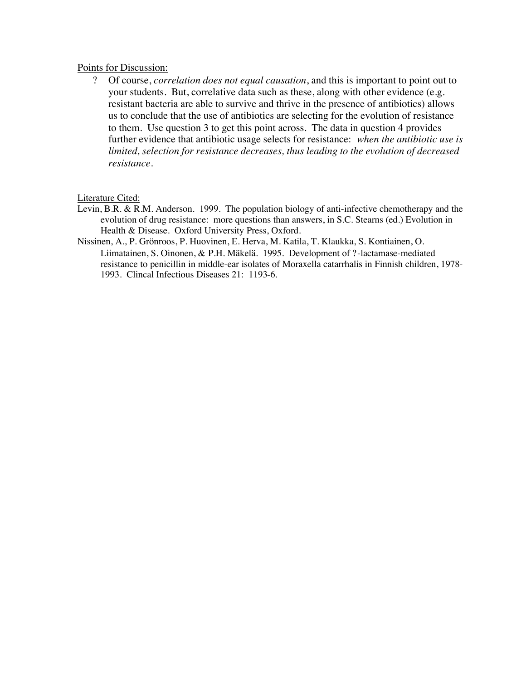#### Points for Discussion:

? Of course, *correlation does not equal causation*, and this is important to point out to your students. But, correlative data such as these, along with other evidence (e.g. resistant bacteria are able to survive and thrive in the presence of antibiotics) allows us to conclude that the use of antibiotics are selecting for the evolution of resistance to them. Use question 3 to get this point across. The data in question 4 provides further evidence that antibiotic usage selects for resistance: *when the antibiotic use is limited, selection for resistance decreases, thus leading to the evolution of decreased resistance*.

#### Literature Cited:

- Levin, B.R. & R.M. Anderson. 1999. The population biology of anti-infective chemotherapy and the evolution of drug resistance: more questions than answers, in S.C. Stearns (ed.) Evolution in Health & Disease. Oxford University Press, Oxford.
- Nissinen, A., P. Grönroos, P. Huovinen, E. Herva, M. Katila, T. Klaukka, S. Kontiainen, O. Liimatainen, S. Oinonen, & P.H. Mäkelä. 1995. Development of ?-lactamase-mediated resistance to penicillin in middle-ear isolates of Moraxella catarrhalis in Finnish children, 1978- 1993. Clincal Infectious Diseases 21: 1193-6.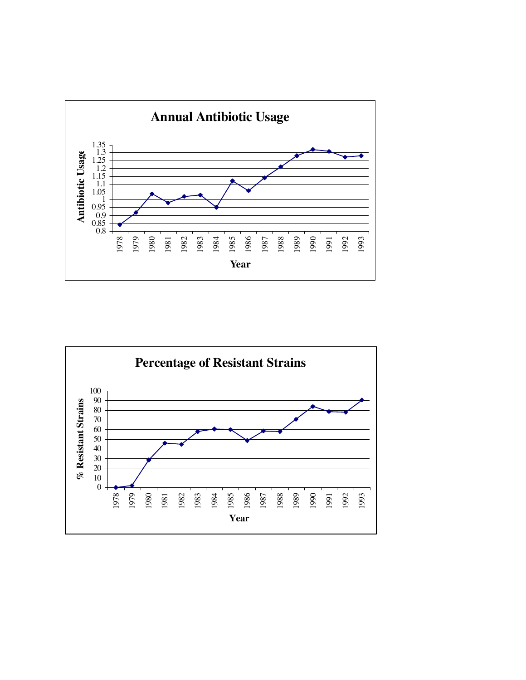

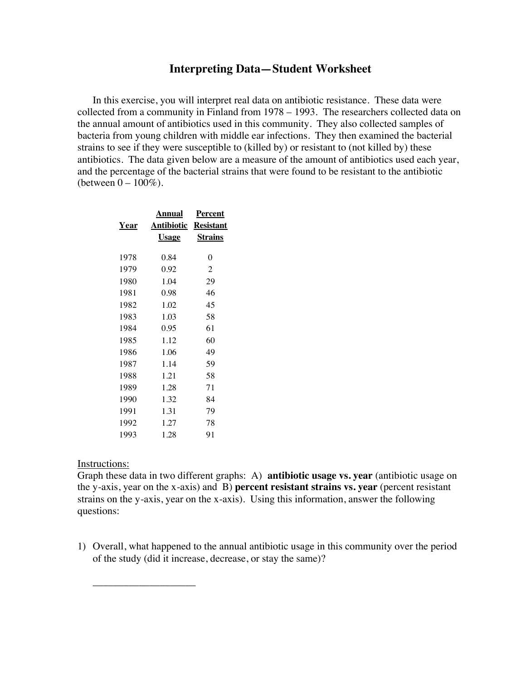#### **Interpreting Data—Student Worksheet**

In this exercise, you will interpret real data on antibiotic resistance. These data were collected from a community in Finland from 1978 – 1993. The researchers collected data on the annual amount of antibiotics used in this community. They also collected samples of bacteria from young children with middle ear infections. They then examined the bacterial strains to see if they were susceptible to (killed by) or resistant to (not killed by) these antibiotics. The data given below are a measure of the amount of antibiotics used each year, and the percentage of the bacterial strains that were found to be resistant to the antibiotic (between  $0 - 100\%$ ).

|      | Annual               | Percent        |
|------|----------------------|----------------|
| Year | Antibiotic Resistant |                |
|      | <b>Usage</b>         | <b>Strains</b> |
|      |                      |                |
| 1978 | 0.84                 | 0              |
| 1979 | 0.92                 | $\overline{c}$ |
| 1980 | 1.04                 | 29             |
| 1981 | 0.98                 | 46             |
| 1982 | 1.02                 | 45             |
| 1983 | 1.03                 | 58             |
| 1984 | 0.95                 | 61             |
| 1985 | 1.12                 | 60             |
| 1986 | 1.06                 | 49             |
| 1987 | 1.14                 | 59             |
| 1988 | 1.21                 | 58             |
| 1989 | 1.28                 | 71             |
| 1990 | 1.32                 | 84             |
| 1991 | 1.31                 | 79             |
| 1992 | 1.27                 | 78             |
| 1993 | 1.28                 | 91             |
|      |                      |                |

#### Instructions:

\_\_\_\_\_\_\_\_\_\_\_\_\_\_\_\_\_\_\_\_

Graph these data in two different graphs: A) **antibiotic usage vs. year** (antibiotic usage on the y-axis, year on the x-axis) and B) **percent resistant strains vs. year** (percent resistant strains on the y-axis, year on the x-axis). Using this information, answer the following questions:

1) Overall, what happened to the annual antibiotic usage in this community over the period of the study (did it increase, decrease, or stay the same)?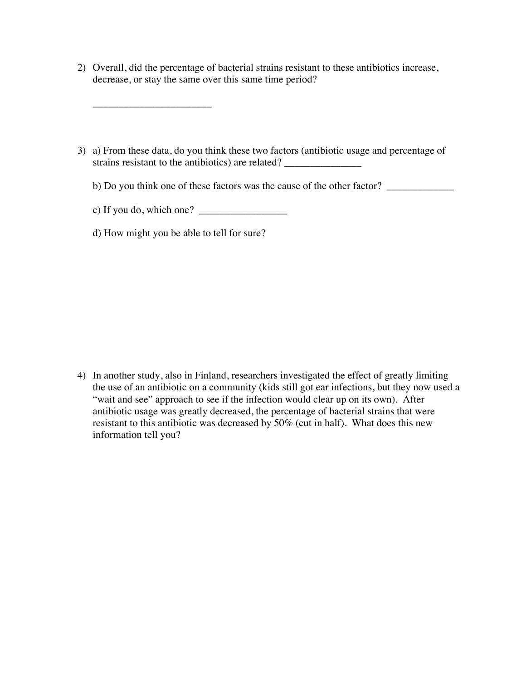- 2) Overall, did the percentage of bacterial strains resistant to these antibiotics increase, decrease, or stay the same over this same time period?
- 3) a) From these data, do you think these two factors (antibiotic usage and percentage of strains resistant to the antibiotics) are related?

b) Do you think one of these factors was the cause of the other factor? \_\_\_\_\_\_\_\_\_\_\_\_\_

c) If you do, which one?  $\frac{2}{\sqrt{2}}$ 

d) How might you be able to tell for sure?

\_\_\_\_\_\_\_\_\_\_\_\_\_\_\_\_\_\_\_\_\_\_\_

4) In another study, also in Finland, researchers investigated the effect of greatly limiting the use of an antibiotic on a community (kids still got ear infections, but they now used a "wait and see" approach to see if the infection would clear up on its own). After antibiotic usage was greatly decreased, the percentage of bacterial strains that were resistant to this antibiotic was decreased by 50% (cut in half). What does this new information tell you?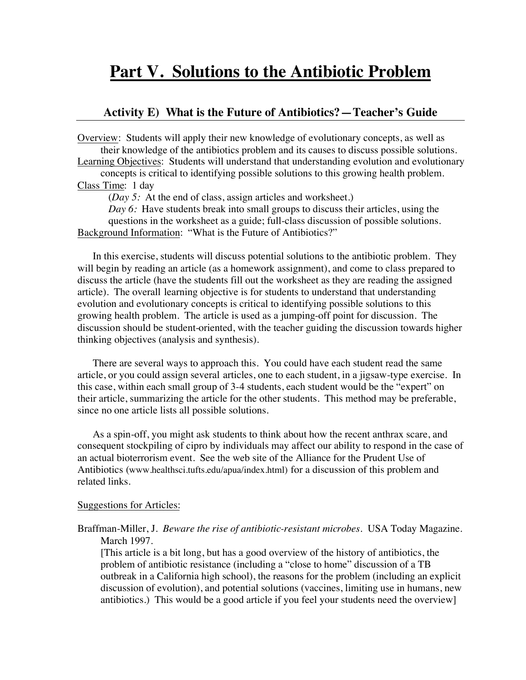# **Part V. Solutions to the Antibiotic Problem**

#### **Activity E) What is the Future of Antibiotics?—Teacher's Guide**

Overview: Students will apply their new knowledge of evolutionary concepts, as well as their knowledge of the antibiotics problem and its causes to discuss possible solutions. Learning Objectives: Students will understand that understanding evolution and evolutionary

concepts is critical to identifying possible solutions to this growing health problem. Class Time: 1 day

(*Day 5:* At the end of class, assign articles and worksheet.)

*Day 6:* Have students break into small groups to discuss their articles, using the questions in the worksheet as a guide; full-class discussion of possible solutions. Background Information: "What is the Future of Antibiotics?"

In this exercise, students will discuss potential solutions to the antibiotic problem. They will begin by reading an article (as a homework assignment), and come to class prepared to discuss the article (have the students fill out the worksheet as they are reading the assigned article). The overall learning objective is for students to understand that understanding evolution and evolutionary concepts is critical to identifying possible solutions to this growing health problem. The article is used as a jumping-off point for discussion. The discussion should be student-oriented, with the teacher guiding the discussion towards higher thinking objectives (analysis and synthesis).

There are several ways to approach this. You could have each student read the same article, or you could assign several articles, one to each student, in a jigsaw-type exercise. In this case, within each small group of 3-4 students, each student would be the "expert" on their article, summarizing the article for the other students. This method may be preferable, since no one article lists all possible solutions.

As a spin-off, you might ask students to think about how the recent anthrax scare, and consequent stockpiling of cipro by individuals may affect our ability to respond in the case of an actual bioterrorism event. See the web site of the Alliance for the Prudent Use of Antibiotics (www.healthsci.tufts.edu/apua/index.html) for a discussion of this problem and related links.

#### Suggestions for Articles:

Braffman-Miller, J. *Beware the rise of antibiotic-resistant microbes*. USA Today Magazine. March 1997.

[This article is a bit long, but has a good overview of the history of antibiotics, the problem of antibiotic resistance (including a "close to home" discussion of a TB outbreak in a California high school), the reasons for the problem (including an explicit discussion of evolution), and potential solutions (vaccines, limiting use in humans, new antibiotics.) This would be a good article if you feel your students need the overview]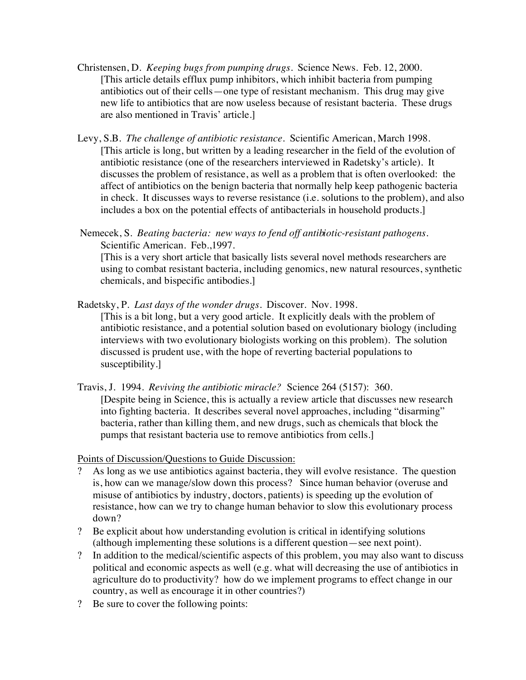- Christensen, D. *Keeping bugs from pumping drugs.* Science News. Feb. 12, 2000. [This article details efflux pump inhibitors, which inhibit bacteria from pumping antibiotics out of their cells—one type of resistant mechanism. This drug may give new life to antibiotics that are now useless because of resistant bacteria. These drugs are also mentioned in Travis' article.]
- Levy, S.B. *The challenge of antibiotic resistance*. Scientific American, March 1998. [This article is long, but written by a leading researcher in the field of the evolution of antibiotic resistance (one of the researchers interviewed in Radetsky's article). It discusses the problem of resistance, as well as a problem that is often overlooked: the affect of antibiotics on the benign bacteria that normally help keep pathogenic bacteria in check. It discusses ways to reverse resistance (i.e. solutions to the problem), and also includes a box on the potential effects of antibacterials in household products.]
- Nemecek, S. *Beating bacteria: new ways to fend off antibiotic-resistant pathogens*. Scientific American. Feb.,1997.

[This is a very short article that basically lists several novel methods researchers are using to combat resistant bacteria, including genomics, new natural resources, synthetic chemicals, and bispecific antibodies.]

- Radetsky, P. *Last days of the wonder drugs.* Discover. Nov. 1998. [This is a bit long, but a very good article. It explicitly deals with the problem of antibiotic resistance, and a potential solution based on evolutionary biology (including interviews with two evolutionary biologists working on this problem). The solution discussed is prudent use, with the hope of reverting bacterial populations to susceptibility.]
- Travis, J. 1994. *Reviving the antibiotic miracle?* Science 264 (5157): 360. [Despite being in Science, this is actually a review article that discusses new research into fighting bacteria. It describes several novel approaches, including "disarming" bacteria, rather than killing them, and new drugs, such as chemicals that block the pumps that resistant bacteria use to remove antibiotics from cells.]

Points of Discussion/Questions to Guide Discussion:

- ? As long as we use antibiotics against bacteria, they will evolve resistance. The question is, how can we manage/slow down this process? Since human behavior (overuse and misuse of antibiotics by industry, doctors, patients) is speeding up the evolution of resistance, how can we try to change human behavior to slow this evolutionary process down?
- ? Be explicit about how understanding evolution is critical in identifying solutions (although implementing these solutions is a different question—see next point).
- ? In addition to the medical/scientific aspects of this problem, you may also want to discuss political and economic aspects as well (e.g. what will decreasing the use of antibiotics in agriculture do to productivity? how do we implement programs to effect change in our country, as well as encourage it in other countries?)
- ? Be sure to cover the following points: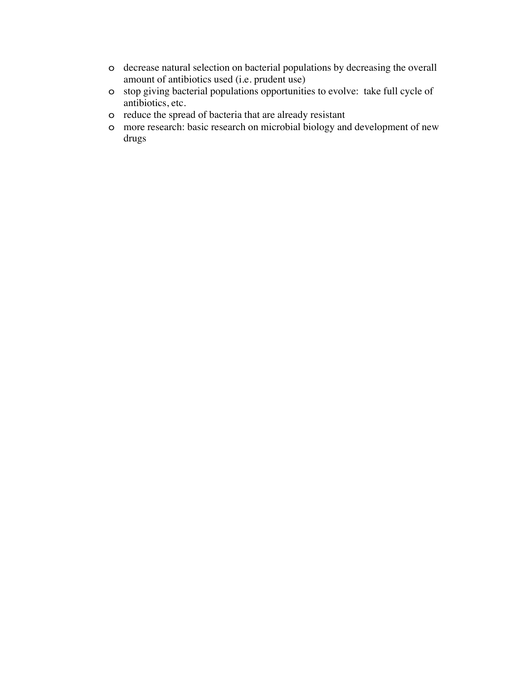- o decrease natural selection on bacterial populations by decreasing the overall amount of antibiotics used (i.e. prudent use)
- o stop giving bacterial populations opportunities to evolve: take full cycle of antibiotics, etc.
- o reduce the spread of bacteria that are already resistant
- o more research: basic research on microbial biology and development of new drugs